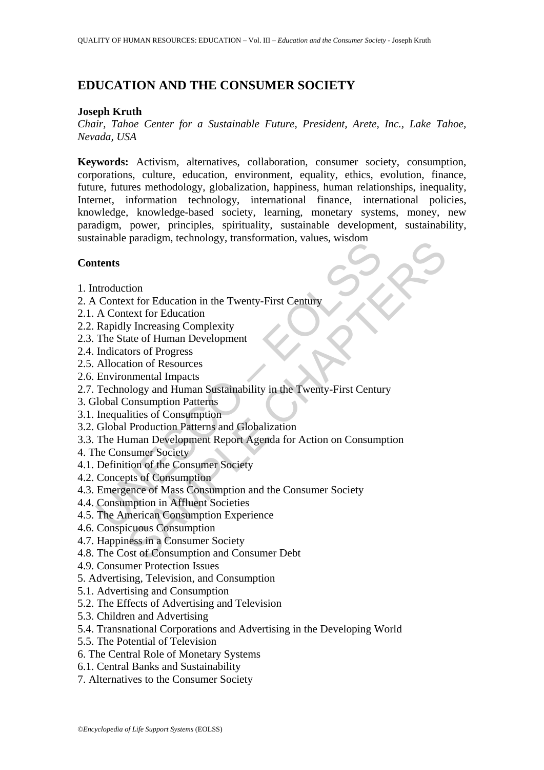# **EDUCATION AND THE CONSUMER SOCIETY**

### **Joseph Kruth**

*Chair, Tahoe Center for a Sustainable Future, President, Arete, Inc., Lake Tahoe, Nevada, USA* 

**Keywords:** Activism, alternatives, collaboration, consumer society, consumption, corporations, culture, education, environment, equality, ethics, evolution, finance, future, futures methodology, globalization, happiness, human relationships, inequality, Internet, information technology, international finance, international policies, knowledge, knowledge-based society, learning, monetary systems, money, new paradigm, power, principles, spirituality, sustainable development, sustainability, sustainable paradigm, technology, transformation, values, wisdom

### **Contents**

- 1. Introduction
- 2. A Context for Education in the Twenty-First Century
- 2.1. A Context for Education
- 2.2. Rapidly Increasing Complexity
- 2.3. The State of Human Development
- 2.4. Indicators of Progress
- 2.5. Allocation of Resources
- 2.6. Environmental Impacts
- The Particular Constrainers (Constrainers Constrainers Constrainers Constrainers Constrainers A Context for Education<br>
A Context for Education<br>
Rapidly Increasing Complexity<br>
The State of Human Development<br>
Indicators of P Paradigm, echinology, transformation, variats, wisdom<br>
tion<br>
xt for Education in the Twenty-First Century<br>
text for Education<br>
y Increasing Complexity<br>
text for Education<br>
memental Impacts<br>
close of Progress<br>
tion of Resou 2.7. Technology and Human Sustainability in the Twenty-First Century
- 3. Global Consumption Patterns
- 3.1. Inequalities of Consumption
- 3.2. Global Production Patterns and Globalization
- 3.3. The Human Development Report Agenda for Action on Consumption
- 4. The Consumer Society
- 4.1. Definition of the Consumer Society
- 4.2. Concepts of Consumption
- 4.3. Emergence of Mass Consumption and the Consumer Society
- 4.4. Consumption in Affluent Societies
- 4.5. The American Consumption Experience
- 4.6. Conspicuous Consumption
- 4.7. Happiness in a Consumer Society
- 4.8. The Cost of Consumption and Consumer Debt
- 4.9. Consumer Protection Issues
- 5. Advertising, Television, and Consumption
- 5.1. Advertising and Consumption
- 5.2. The Effects of Advertising and Television
- 5.3. Children and Advertising
- 5.4. Transnational Corporations and Advertising in the Developing World
- 5.5. The Potential of Television
- 6. The Central Role of Monetary Systems
- 6.1. Central Banks and Sustainability
- 7. Alternatives to the Consumer Society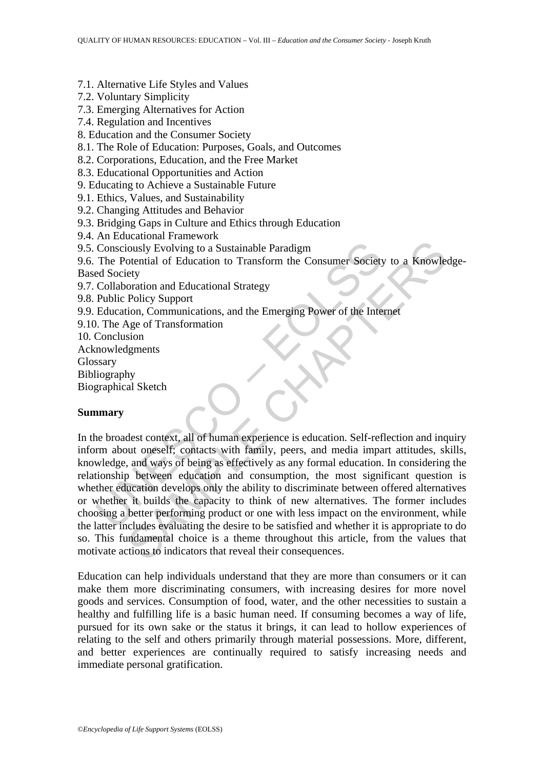- 7.1. Alternative Life Styles and Values
- 7.2. Voluntary Simplicity
- 7.3. Emerging Alternatives for Action
- 7.4. Regulation and Incentives
- 8. Education and the Consumer Society
- 8.1. The Role of Education: Purposes, Goals, and Outcomes
- 8.2. Corporations, Education, and the Free Market
- 8.3. Educational Opportunities and Action
- 9. Educating to Achieve a Sustainable Future
- 9.1. Ethics, Values, and Sustainability
- 9.2. Changing Attitudes and Behavior
- 9.3. Bridging Gaps in Culture and Ethics through Education
- 9.4. An Educational Framework
- 9.5. Consciously Evolving to a Sustainable Paradigm
- 9.6. The Potential of Education to Transform the Consumer Society to a Knowledge-Based Society
- 9.7. Collaboration and Educational Strategy
- 9.8. Public Policy Support
- 9.9. Education, Communications, and the Emerging Power of the Internet
- 9.10. The Age of Transformation
- 10. Conclusion
- Acknowledgments
- Glossary
- Bibliography
- Biographical Sketch

#### **Summary**

Consciously Evolving to a Sustainable Paradigm<br>
The Potential of Education to Transform the Consumer Society<br>
ed Society<br>
Collaboration and Educational Strategy<br>
Collaboration and Educational Strategy<br>
Education, Communica Cously Evolving to a Sustainable Paradigm<br>
contrial of Education to Transform the Consumer Society to a Knowle<br>
ety<br>
coration and Educational Strategy<br>
Policy Support<br>
contain and Educational Strategy<br>
Policy Support<br>
cont In the broadest context, all of human experience is education. Self-reflection and inquiry inform about oneself; contacts with family, peers, and media impart attitudes, skills, knowledge, and ways of being as effectively as any formal education. In considering the relationship between education and consumption, the most significant question is whether education develops only the ability to discriminate between offered alternatives or whether it builds the capacity to think of new alternatives. The former includes choosing a better performing product or one with less impact on the environment, while the latter includes evaluating the desire to be satisfied and whether it is appropriate to do so. This fundamental choice is a theme throughout this article, from the values that motivate actions to indicators that reveal their consequences.

Education can help individuals understand that they are more than consumers or it can make them more discriminating consumers, with increasing desires for more novel goods and services. Consumption of food, water, and the other necessities to sustain a healthy and fulfilling life is a basic human need. If consuming becomes a way of life, pursued for its own sake or the status it brings, it can lead to hollow experiences of relating to the self and others primarily through material possessions. More, different, and better experiences are continually required to satisfy increasing needs and immediate personal gratification.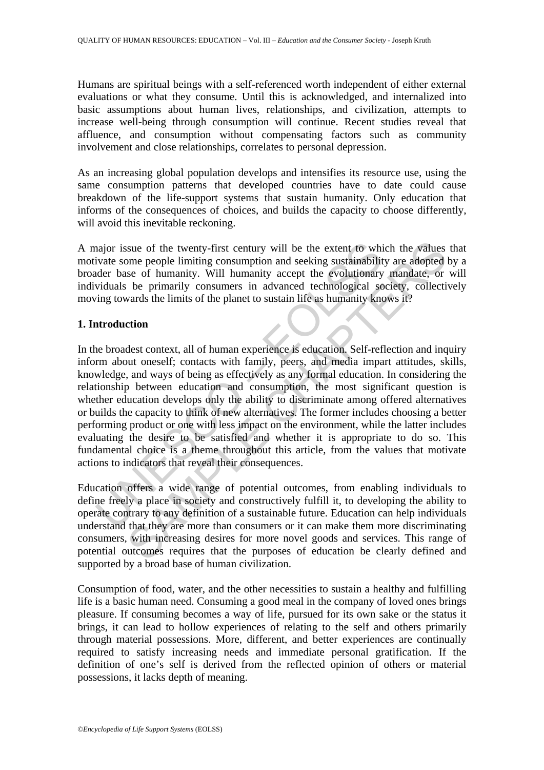Humans are spiritual beings with a self-referenced worth independent of either external evaluations or what they consume. Until this is acknowledged, and internalized into basic assumptions about human lives, relationships, and civilization, attempts to increase well-being through consumption will continue. Recent studies reveal that affluence, and consumption without compensating factors such as community involvement and close relationships, correlates to personal depression.

As an increasing global population develops and intensifies its resource use, using the same consumption patterns that developed countries have to date could cause breakdown of the life-support systems that sustain humanity. Only education that informs of the consequences of choices, and builds the capacity to choose differently, will avoid this inevitable reckoning.

A major issue of the twenty-first century will be the extent to which the values that motivate some people limiting consumption and seeking sustainability are adopted by a broader base of humanity. Will humanity accept the evolutionary mandate, or will individuals be primarily consumers in advanced technological society, collectively moving towards the limits of the planet to sustain life as humanity knows it?

### **1. Introduction**

najor issue of the twenty-first century will be the extent to whivate some people limiting consumption and seeking sustainability der base of humanity. Will humanity accept the evolutionary viduals be primarily consumers i sue of the twenty-first century will be the extent to which the values<br>ome people limiting consumption and seeking sustainability are adopted<br>see of humanity. Will humanity accept the evolutionary mandate, or<br>be primarily In the broadest context, all of human experience is education. Self-reflection and inquiry inform about oneself; contacts with family, peers, and media impart attitudes, skills, knowledge, and ways of being as effectively as any formal education. In considering the relationship between education and consumption, the most significant question is whether education develops only the ability to discriminate among offered alternatives or builds the capacity to think of new alternatives. The former includes choosing a better performing product or one with less impact on the environment, while the latter includes evaluating the desire to be satisfied and whether it is appropriate to do so. This fundamental choice is a theme throughout this article, from the values that motivate actions to indicators that reveal their consequences.

Education offers a wide range of potential outcomes, from enabling individuals to define freely a place in society and constructively fulfill it, to developing the ability to operate contrary to any definition of a sustainable future. Education can help individuals understand that they are more than consumers or it can make them more discriminating consumers, with increasing desires for more novel goods and services. This range of potential outcomes requires that the purposes of education be clearly defined and supported by a broad base of human civilization.

Consumption of food, water, and the other necessities to sustain a healthy and fulfilling life is a basic human need. Consuming a good meal in the company of loved ones brings pleasure. If consuming becomes a way of life, pursued for its own sake or the status it brings, it can lead to hollow experiences of relating to the self and others primarily through material possessions. More, different, and better experiences are continually required to satisfy increasing needs and immediate personal gratification. If the definition of one's self is derived from the reflected opinion of others or material possessions, it lacks depth of meaning.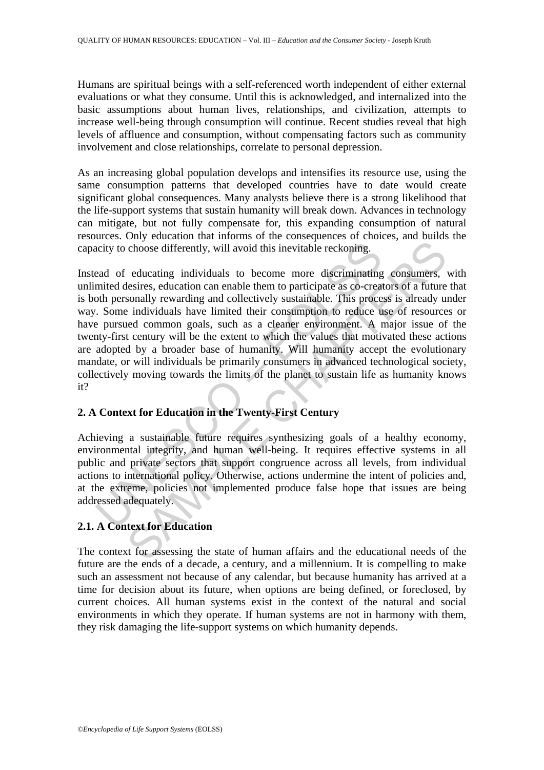Humans are spiritual beings with a self-referenced worth independent of either external evaluations or what they consume. Until this is acknowledged, and internalized into the basic assumptions about human lives, relationships, and civilization, attempts to increase well-being through consumption will continue. Recent studies reveal that high levels of affluence and consumption, without compensating factors such as community involvement and close relationships, correlate to personal depression.

As an increasing global population develops and intensifies its resource use, using the same consumption patterns that developed countries have to date would create significant global consequences. Many analysts believe there is a strong likelihood that the life-support systems that sustain humanity will break down. Advances in technology can mitigate, but not fully compensate for, this expanding consumption of natural resources. Only education that informs of the consequences of choices, and builds the capacity to choose differently, will avoid this inevitable reckoning.

netive to choose differently, will avoid this inevitable reckoning.<br>
ead of educating individuals to become more discriminating<br>
minited desires, education can enable them to participate as co-creat<br>
of the pressure dividu choose differently, will avoid this inevitable reckoning.<br>
choose differently, will avoid this inevitable reckoning.<br>
elessires, education can enable them to participate as co-creators of a future<br>
sonally rewarding and co Instead of educating individuals to become more discriminating consumers, with unlimited desires, education can enable them to participate as co-creators of a future that is both personally rewarding and collectively sustainable. This process is already under way. Some individuals have limited their consumption to reduce use of resources or have pursued common goals, such as a cleaner environment. A major issue of the twenty-first century will be the extent to which the values that motivated these actions are adopted by a broader base of humanity. Will humanity accept the evolutionary mandate, or will individuals be primarily consumers in advanced technological society, collectively moving towards the limits of the planet to sustain life as humanity knows it?

### **2. A Context for Education in the Twenty-First Century**

Achieving a sustainable future requires synthesizing goals of a healthy economy, environmental integrity, and human well-being. It requires effective systems in all public and private sectors that support congruence across all levels, from individual actions to international policy. Otherwise, actions undermine the intent of policies and, at the extreme, policies not implemented produce false hope that issues are being addressed adequately.

### **2.1. A Context for Education**

The context for assessing the state of human affairs and the educational needs of the future are the ends of a decade, a century, and a millennium. It is compelling to make such an assessment not because of any calendar, but because humanity has arrived at a time for decision about its future, when options are being defined, or foreclosed, by current choices. All human systems exist in the context of the natural and social environments in which they operate. If human systems are not in harmony with them, they risk damaging the life-support systems on which humanity depends.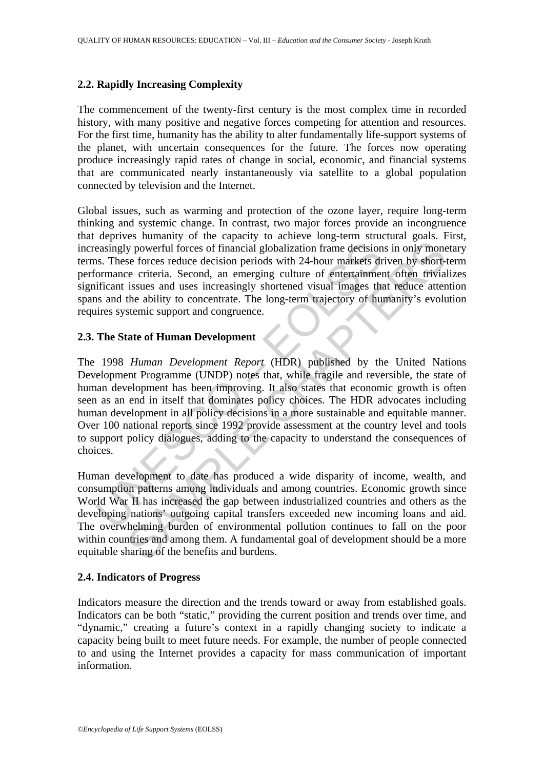#### **2.2. Rapidly Increasing Complexity**

The commencement of the twenty-first century is the most complex time in recorded history, with many positive and negative forces competing for attention and resources. For the first time, humanity has the ability to alter fundamentally life-support systems of the planet, with uncertain consequences for the future. The forces now operating produce increasingly rapid rates of change in social, economic, and financial systems that are communicated nearly instantaneously via satellite to a global population connected by television and the Internet.

Global issues, such as warming and protection of the ozone layer, require long-term thinking and systemic change. In contrast, two major forces provide an incongruence that deprives humanity of the capacity to achieve long-term structural goals. First, increasingly powerful forces of financial globalization frame decisions in only monetary terms. These forces reduce decision periods with 24-hour markets driven by short-term performance criteria. Second, an emerging culture of entertainment often trivializes significant issues and uses increasingly shortened visual images that reduce attention spans and the ability to concentrate. The long-term trajectory of humanity's evolution requires systemic support and congruence.

#### **2.3. The State of Human Development**

easingly powerful forces of financial globalization frame decision<br>s. These forces reduce decision periods with 24-hour markets dromance criteria. Second, an emerging culture of entertainment<br>ificant issues and uses increa Solution from detection provides and a more than the and the same the same the same the same the same terminal Solution from detections in only mone se forces reduce decision periods with 24-hour markets driven by short-te The 1998 *Human Development Report* (HDR) published by the United Nations Development Programme (UNDP) notes that, while fragile and reversible, the state of human development has been improving. It also states that economic growth is often seen as an end in itself that dominates policy choices. The HDR advocates including human development in all policy decisions in a more sustainable and equitable manner. Over 100 national reports since 1992 provide assessment at the country level and tools to support policy dialogues, adding to the capacity to understand the consequences of choices.

Human development to date has produced a wide disparity of income, wealth, and consumption patterns among individuals and among countries. Economic growth since World War II has increased the gap between industrialized countries and others as the developing nations' outgoing capital transfers exceeded new incoming loans and aid. The overwhelming burden of environmental pollution continues to fall on the poor within countries and among them. A fundamental goal of development should be a more equitable sharing of the benefits and burdens.

#### **2.4. Indicators of Progress**

Indicators measure the direction and the trends toward or away from established goals. Indicators can be both "static," providing the current position and trends over time, and "dynamic," creating a future's context in a rapidly changing society to indicate a capacity being built to meet future needs. For example, the number of people connected to and using the Internet provides a capacity for mass communication of important information.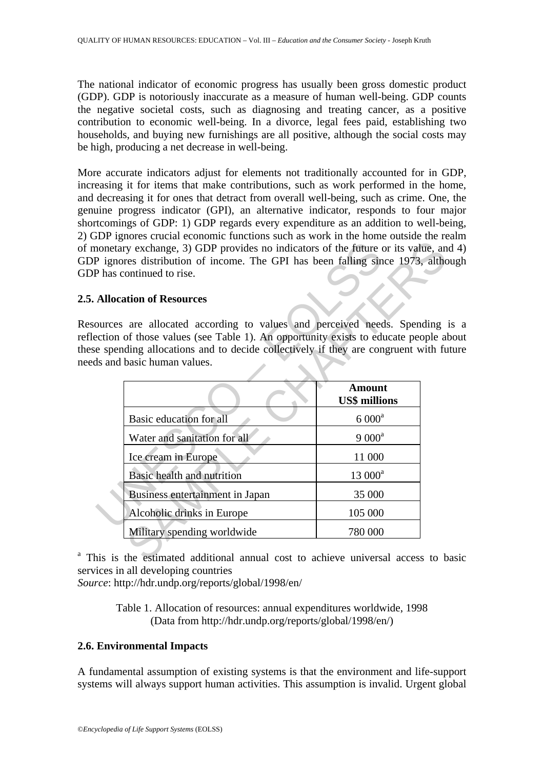The national indicator of economic progress has usually been gross domestic product (GDP). GDP is notoriously inaccurate as a measure of human well-being. GDP counts the negative societal costs, such as diagnosing and treating cancer, as a positive contribution to economic well-being. In a divorce, legal fees paid, establishing two households, and buying new furnishings are all positive, although the social costs may be high, producing a net decrease in well-being.

More accurate indicators adjust for elements not traditionally accounted for in GDP, increasing it for items that make contributions, such as work performed in the home, and decreasing it for ones that detract from overall well-being, such as crime. One, the genuine progress indicator (GPI), an alternative indicator, responds to four major shortcomings of GDP: 1) GDP regards every expenditure as an addition to well-being, 2) GDP ignores crucial economic functions such as work in the home outside the realm of monetary exchange, 3) GDP provides no indicators of the future or its value, and 4) GDP ignores distribution of income. The GPI has been falling since 1973, although GDP has continued to rise.

### **2.5. Allocation of Resources**

Resources are allocated according to values and perceived needs. Spending is a reflection of those values (see Table 1). An opportunity exists to educate people about these spending allocations and to decide collectively if they are congruent with future needs and basic human values.

| nonetary exchange, 3) GDP provides no indicators of the future or its value, an                                                                                      |                                                                              |                      |  |
|----------------------------------------------------------------------------------------------------------------------------------------------------------------------|------------------------------------------------------------------------------|----------------------|--|
|                                                                                                                                                                      | P ignores distribution of income. The GPI has been falling since 1973, altho |                      |  |
|                                                                                                                                                                      | P has continued to rise.                                                     |                      |  |
|                                                                                                                                                                      | <b>Allocation of Resources</b>                                               |                      |  |
|                                                                                                                                                                      |                                                                              |                      |  |
| ources are allocated according to values and perceived needs. Spending                                                                                               |                                                                              |                      |  |
| ection of those values (see Table 1). An opportunity exists to educate people all<br>e spending allocations and to decide collectively if they are congruent with fu |                                                                              |                      |  |
| ds and basic human values.                                                                                                                                           |                                                                              |                      |  |
|                                                                                                                                                                      |                                                                              |                      |  |
|                                                                                                                                                                      |                                                                              | <b>Amount</b>        |  |
|                                                                                                                                                                      |                                                                              | <b>US\$ millions</b> |  |
|                                                                                                                                                                      | Basic education for all                                                      | $6000^a$             |  |
|                                                                                                                                                                      | Water and sanitation for all                                                 | $9000^a$             |  |
|                                                                                                                                                                      | Ice cream in Europe                                                          | 11 000               |  |
|                                                                                                                                                                      | Basic health and nutrition                                                   | 13 000 <sup>a</sup>  |  |
|                                                                                                                                                                      | Business entertainment in Japan                                              | 35 000               |  |
|                                                                                                                                                                      | Alcoholic drinks in Europe                                                   | 105 000              |  |
|                                                                                                                                                                      | Military spending worldwide                                                  | 780 000              |  |
| his is the estimated additional annual cost to achieve universal access to b                                                                                         |                                                                              |                      |  |

<sup>a</sup> This is the estimated additional annual cost to achieve universal access to basic services in all developing countries

*Source*: http://hdr.undp.org/reports/global/1998/en/

Table 1. Allocation of resources: annual expenditures worldwide, 1998 (Data from http://hdr.undp.org/reports/global/1998/en/)

## **2.6. Environmental Impacts**

A fundamental assumption of existing systems is that the environment and life-support systems will always support human activities. This assumption is invalid. Urgent global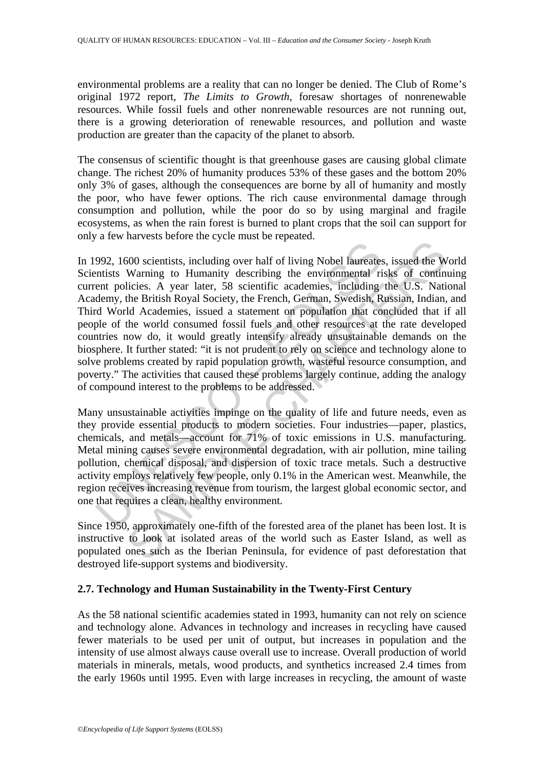environmental problems are a reality that can no longer be denied. The Club of Rome's original 1972 report, *The Limits to Growth*, foresaw shortages of nonrenewable resources. While fossil fuels and other nonrenewable resources are not running out, there is a growing deterioration of renewable resources, and pollution and waste production are greater than the capacity of the planet to absorb.

The consensus of scientific thought is that greenhouse gases are causing global climate change. The richest 20% of humanity produces 53% of these gases and the bottom 20% only 3% of gases, although the consequences are borne by all of humanity and mostly the poor, who have fewer options. The rich cause environmental damage through consumption and pollution, while the poor do so by using marginal and fragile ecosystems, as when the rain forest is burned to plant crops that the soil can support for only a few harvests before the cycle must be repeated.

992, 1600 scientists, including over half of living Nobel laureates<br>entists Warning to Humanity describing the environmental ri<br>ent policies. A year later, 58 scientific academies, including<br>demy, the British Royal Society 500 scientists, including over half of living Nobel laureates, issued the Warning to Humanity describing the environmental risks of continuities. A year later, 58 scientific academies, including the U.S. Nation British Roy In 1992, 1600 scientists, including over half of living Nobel laureates, issued the World Scientists Warning to Humanity describing the environmental risks of continuing current policies. A year later, 58 scientific academies, including the U.S. National Academy, the British Royal Society, the French, German, Swedish, Russian, Indian, and Third World Academies, issued a statement on population that concluded that if all people of the world consumed fossil fuels and other resources at the rate developed countries now do, it would greatly intensify already unsustainable demands on the biosphere. It further stated: "it is not prudent to rely on science and technology alone to solve problems created by rapid population growth, wasteful resource consumption, and poverty." The activities that caused these problems largely continue, adding the analogy of compound interest to the problems to be addressed.

Many unsustainable activities impinge on the quality of life and future needs, even as they provide essential products to modern societies. Four industries—paper, plastics, chemicals, and metals—account for 71% of toxic emissions in U.S. manufacturing. Metal mining causes severe environmental degradation, with air pollution, mine tailing pollution, chemical disposal, and dispersion of toxic trace metals. Such a destructive activity employs relatively few people, only 0.1% in the American west. Meanwhile, the region receives increasing revenue from tourism, the largest global economic sector, and one that requires a clean, healthy environment.

Since 1950, approximately one-fifth of the forested area of the planet has been lost. It is instructive to look at isolated areas of the world such as Easter Island, as well as populated ones such as the Iberian Peninsula, for evidence of past deforestation that destroyed life-support systems and biodiversity.

## **2.7. Technology and Human Sustainability in the Twenty-First Century**

As the 58 national scientific academies stated in 1993, humanity can not rely on science and technology alone. Advances in technology and increases in recycling have caused fewer materials to be used per unit of output, but increases in population and the intensity of use almost always cause overall use to increase. Overall production of world materials in minerals, metals, wood products, and synthetics increased 2.4 times from the early 1960s until 1995. Even with large increases in recycling, the amount of waste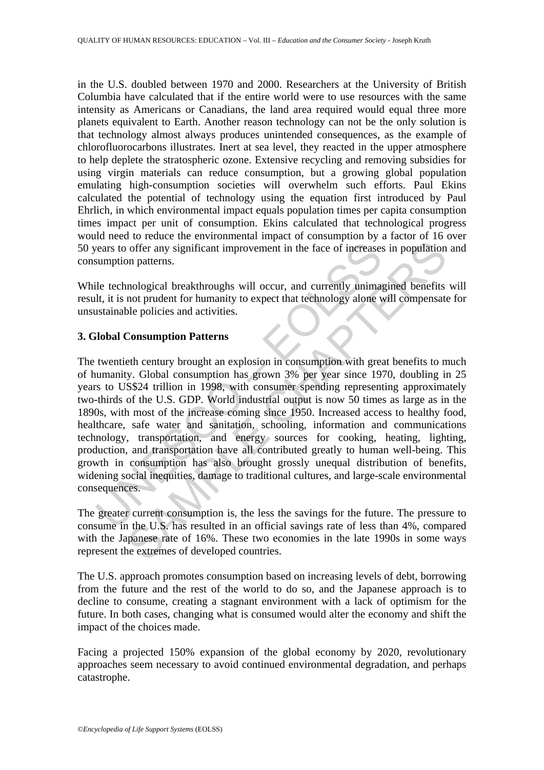in the U.S. doubled between 1970 and 2000. Researchers at the University of British Columbia have calculated that if the entire world were to use resources with the same intensity as Americans or Canadians, the land area required would equal three more planets equivalent to Earth. Another reason technology can not be the only solution is that technology almost always produces unintended consequences, as the example of chlorofluorocarbons illustrates. Inert at sea level, they reacted in the upper atmosphere to help deplete the stratospheric ozone. Extensive recycling and removing subsidies for using virgin materials can reduce consumption, but a growing global population emulating high-consumption societies will overwhelm such efforts. Paul Ekins calculated the potential of technology using the equation first introduced by Paul Ehrlich, in which environmental impact equals population times per capita consumption times impact per unit of consumption. Ekins calculated that technological progress would need to reduce the environmental impact of consumption by a factor of 16 over 50 years to offer any significant improvement in the face of increases in population and consumption patterns.

While technological breakthroughs will occur, and currently unimagined benefits will result, it is not prudent for humanity to expect that technology alone will compensate for unsustainable policies and activities.

### **3. Global Consumption Patterns**

rears to offer any significant improvement in the face of increases<br>sumption patterns.<br>
ile technological breakthroughs will occur, and currently unimat<br>
ilt, it is not prudent for humanity to expect that technology alone<br> of offer any significant improvement in the face of increases in population<br>on patterns.<br>
mological breakthroughs will occur, and currently unimagined benefits<br>
nological breakthroughs will occur, and currently unimagined The twentieth century brought an explosion in consumption with great benefits to much of humanity. Global consumption has grown 3% per year since 1970, doubling in 25 years to US\$24 trillion in 1998, with consumer spending representing approximately two-thirds of the U.S. GDP. World industrial output is now 50 times as large as in the 1890s, with most of the increase coming since 1950. Increased access to healthy food, healthcare, safe water and sanitation, schooling, information and communications technology, transportation, and energy sources for cooking, heating, lighting, production, and transportation have all contributed greatly to human well-being. This growth in consumption has also brought grossly unequal distribution of benefits, widening social inequities, damage to traditional cultures, and large-scale environmental consequences.

The greater current consumption is, the less the savings for the future. The pressure to consume in the U.S. has resulted in an official savings rate of less than 4%, compared with the Japanese rate of 16%. These two economies in the late 1990s in some ways represent the extremes of developed countries.

The U.S. approach promotes consumption based on increasing levels of debt, borrowing from the future and the rest of the world to do so, and the Japanese approach is to decline to consume, creating a stagnant environment with a lack of optimism for the future. In both cases, changing what is consumed would alter the economy and shift the impact of the choices made.

Facing a projected 150% expansion of the global economy by 2020, revolutionary approaches seem necessary to avoid continued environmental degradation, and perhaps catastrophe.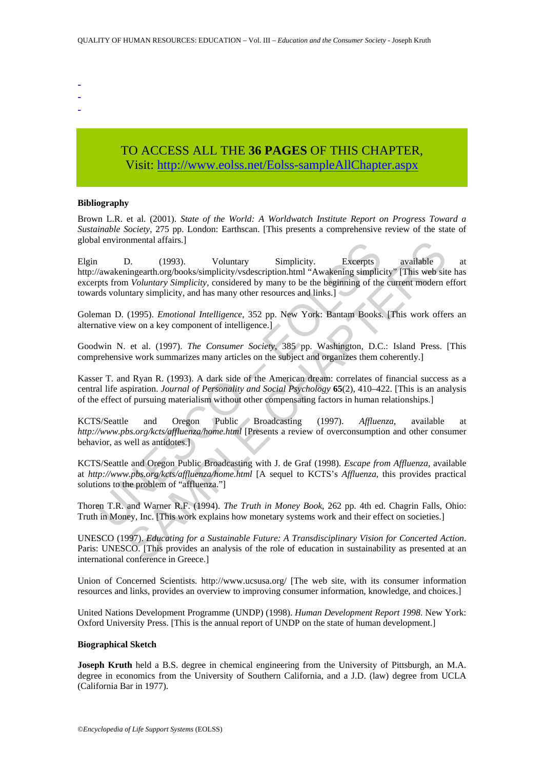- -
- -
- -

# TO ACCESS ALL THE **36 PAGES** OF THIS CHAPTER, Visit: [http://www.eolss.net/Eolss-sampleAllChapter.aspx](https://www.eolss.net/ebooklib/sc_cart.aspx?File=E1-12-05-07)

#### **Bibliography**

Brown L.R. et al. (2001). *State of the World: A Worldwatch Institute Report on Progress Toward a Sustainable Society*, 275 pp. London: Earthscan. [This presents a comprehensive review of the state of global environmental affairs.]

1 D. (1993). Voluntary Simplicity. Excerpts<br>
2011 Warkeningearth.org/books/simplicity/vsdescription.html "Awakening simplicity<br>
2011 Warkening Simplicity, considered by many to be the beginning of the<br>
repts from *Voluntar* nnental altains.]<br>
10. (1993). Voluntary Simplicity. Excerpts available<br>
ingearth.org/books/simplicity/vsdescription.html "Awakening simplicity" [This web sit<br>
in *Voluntary Simplicity*, considered by many to be the begin Elgin D. (1993). Voluntary Simplicity. Excerpts available at http://awakeningearth.org/books/simplicity/vsdescription.html "Awakening simplicity" [This web site has excerpts from *Voluntary Simplicity*, considered by many to be the beginning of the current modern effort towards voluntary simplicity, and has many other resources and links.]

Goleman D. (1995). *Emotional Intelligence*, 352 pp. New York: Bantam Books. [This work offers an alternative view on a key component of intelligence.]

Goodwin N. et al. (1997). *The Consumer Society*, 385 pp. Washington, D.C.: Island Press. [This comprehensive work summarizes many articles on the subject and organizes them coherently.]

Kasser T. and Ryan R. (1993). A dark side of the American dream: correlates of financial success as a central life aspiration. *Journal of Personality and Social Psychology* **65**(2), 410–422. [This is an analysis of the effect of pursuing materialism without other compensating factors in human relationships.]

KCTS/Seattle and Oregon Public Broadcasting (1997). *Affluenza*, available at *http://www.pbs.org/kcts/affluenza/home.html* [Presents a review of overconsumption and other consumer behavior, as well as antidotes.]

KCTS/Seattle and Oregon Public Broadcasting with J. de Graf (1998). *Escape from Affluenza*, available at *http://www.pbs.org/kcts/affluenza/home.html* [A sequel to KCTS's *Affluenza*, this provides practical solutions to the problem of "affluenza."]

Thoren T.R. and Warner R.F. (1994). *The Truth in Money Book*, 262 pp. 4th ed. Chagrin Falls, Ohio: Truth in Money, Inc. [This work explains how monetary systems work and their effect on societies.]

UNESCO (1997). *Educating for a Sustainable Future: A Transdisciplinary Vision for Concerted Action*. Paris: UNESCO. [This provides an analysis of the role of education in sustainability as presented at an international conference in Greece.]

Union of Concerned Scientists. http://www.ucsusa.org/ [The web site, with its consumer information resources and links, provides an overview to improving consumer information, knowledge, and choices.]

United Nations Development Programme (UNDP) (1998). *Human Development Report 1998*. New York: Oxford University Press. [This is the annual report of UNDP on the state of human development.]

#### **Biographical Sketch**

**Joseph Kruth** held a B.S. degree in chemical engineering from the University of Pittsburgh, an M.A. degree in economics from the University of Southern California, and a J.D. (law) degree from UCLA (California Bar in 1977).